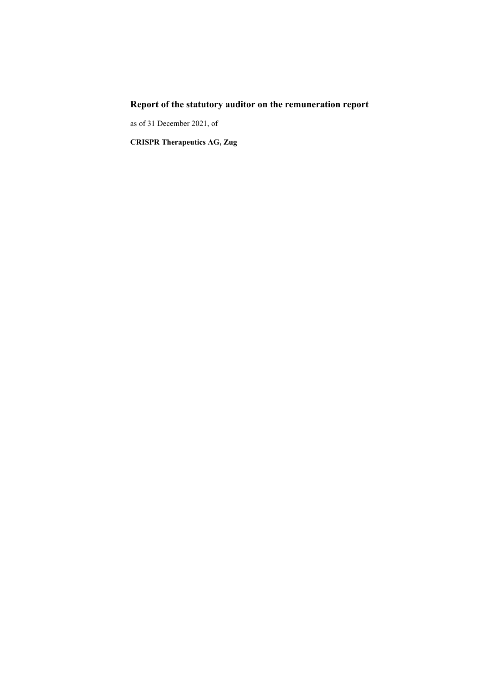# **Report of the statutory auditor on the remuneration report**

as of 31 December 2021, of

**CRISPR Therapeutics AG, Zug**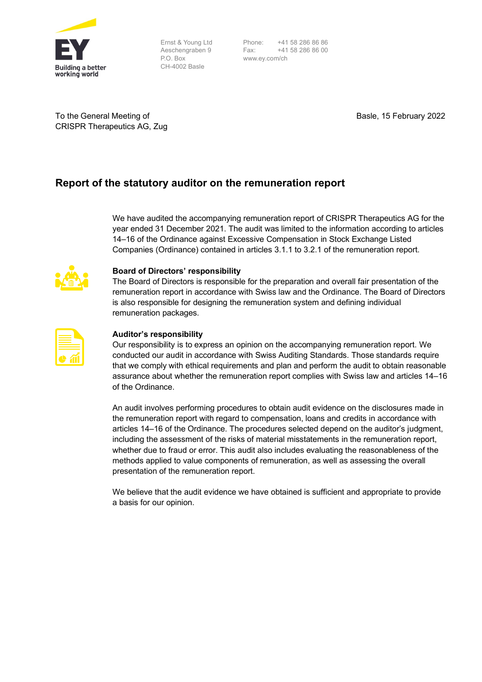

Ernst & Young Ltd Aeschengraben 9 P.O. Box CH-4002 Basle

Phone: +41 58 286 86 86 Fax: +41 58 286 86 00 www.ey.com/ch

To the General Meeting of CRISPR Therapeutics AG, Zug Basle, 15 February 2022

## **Report of the statutory auditor on the remuneration report**

We have audited the accompanying remuneration report of CRISPR Therapeutics AG for the year ended 31 December 2021. The audit was limited to the information according to articles 14–16 of the Ordinance against Excessive Compensation in Stock Exchange Listed Companies (Ordinance) contained in articles 3.1.1 to 3.2.1 of the remuneration report.



## **Board of Directors' responsibility**

The Board of Directors is responsible for the preparation and overall fair presentation of the remuneration report in accordance with Swiss law and the Ordinance. The Board of Directors is also responsible for designing the remuneration system and defining individual remuneration packages.

| <u> The Common Section of the Common Section of</u> |  |
|-----------------------------------------------------|--|
|                                                     |  |

### **Auditor's responsibility**

Our responsibility is to express an opinion on the accompanying remuneration report. We conducted our audit in accordance with Swiss Auditing Standards. Those standards require that we comply with ethical requirements and plan and perform the audit to obtain reasonable assurance about whether the remuneration report complies with Swiss law and articles 14–16 of the Ordinance.

An audit involves performing procedures to obtain audit evidence on the disclosures made in the remuneration report with regard to compensation, loans and credits in accordance with articles 14–16 of the Ordinance. The procedures selected depend on the auditor's judgment, including the assessment of the risks of material misstatements in the remuneration report, whether due to fraud or error. This audit also includes evaluating the reasonableness of the methods applied to value components of remuneration, as well as assessing the overall presentation of the remuneration report.

We believe that the audit evidence we have obtained is sufficient and appropriate to provide a basis for our opinion.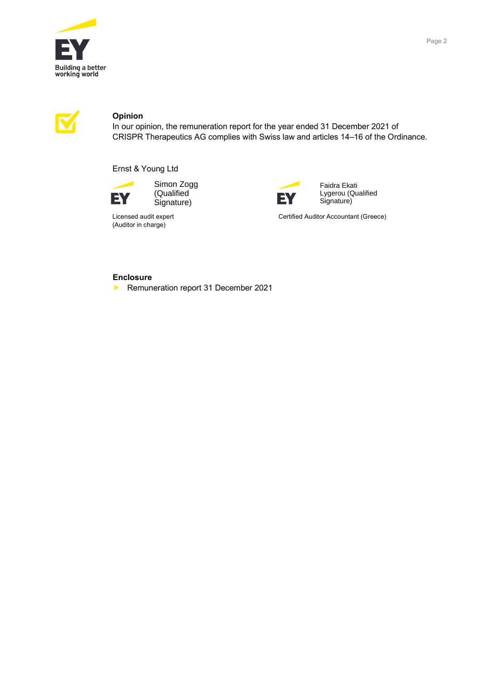



## **Opinion**

In our opinion, the remuneration report for the year ended 31 December 2021 of CRISPR Therapeutics AG complies with Swiss law and articles 14–16 of the Ordinance.

Ernst & Young Ltd



Simon Zogg (Qualified Signature)





Faidra Ekati Lygerou (Qualified Signature)

Licensed audit expert **CERTIFIED EXECUTES** Certified Auditor Accountant (Greece)

## **Enclosure**

Remuneration report 31 December 2021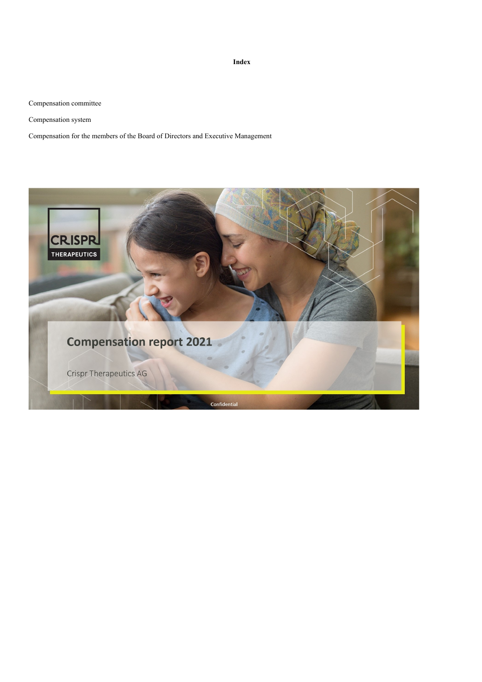**Index**

[Compensation committee](#page-4-0)

[Compensation system](#page-5-0)

[Compensation for the members of the Board of Directors and Executive Management](#page-8-0)

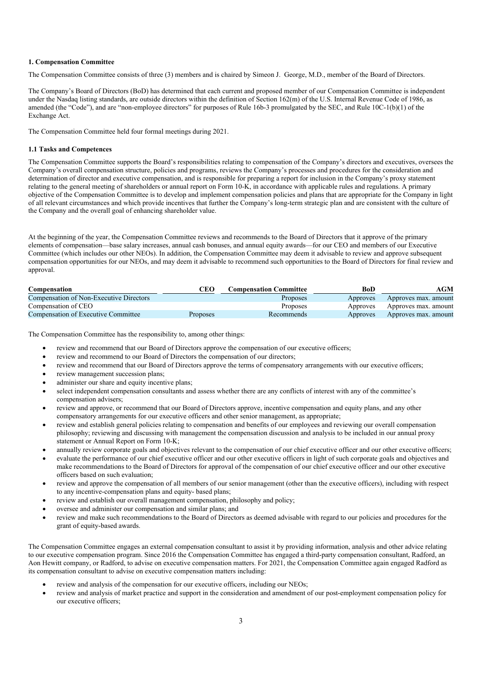#### <span id="page-4-0"></span>**1. Compensation Committee**

The Compensation Committee consists of three (3) members and is chaired by Simeon J. George, M.D., member of the Board of Directors.

The Company's Board of Directors (BoD) has determined that each current and proposed member of our Compensation Committee is independent under the Nasdaq listing standards, are outside directors within the definition of Section 162(m) of the U.S. Internal Revenue Code of 1986, as amended (the "Code"), and are "non-employee directors" for purposes of Rule 16b-3 promulgated by the SEC, and Rule 10C-1(b)(1) of the Exchange Act.

The Compensation Committee held four formal meetings during 2021.

#### **1.1 Tasks and Competences**

The Compensation Committee supports the Board's responsibilities relating to compensation of the Company's directors and executives, oversees the Company's overall compensation structure, policies and programs, reviews the Company's processes and procedures for the consideration and determination of director and executive compensation, and is responsible for preparing a report for inclusion in the Company's proxy statement relating to the general meeting of shareholders or annual report on Form 10-K, in accordance with applicable rules and regulations. A primary objective of the Compensation Committee is to develop and implement compensation policies and plans that are appropriate for the Company in light of all relevant circumstances and which provide incentives that further the Company's long-term strategic plan and are consistent with the culture of the Company and the overall goal of enhancing shareholder value.

At the beginning of the year, the Compensation Committee reviews and recommends to the Board of Directors that it approve of the primary elements of compensation—base salary increases, annual cash bonuses, and annual equity awards—for our CEO and members of our Executive Committee (which includes our other NEOs). In addition, the Compensation Committee may deem it advisable to review and approve subsequent compensation opportunities for our NEOs, and may deem it advisable to recommend such opportunities to the Board of Directors for final review and approval.

| Compensation                            | CEO             | <b>Compensation Committee</b> | BoD      | AGM                  |
|-----------------------------------------|-----------------|-------------------------------|----------|----------------------|
| Compensation of Non-Executive Directors |                 | Proposes                      | Approves | Approves max. amount |
| Compensation of CEO                     |                 | Proposes                      | Approves | Approves max. amount |
| Compensation of Executive Committee     | <b>Proposes</b> | Recommends                    | Approves | Approves max. amount |

The Compensation Committee has the responsibility to, among other things:

- review and recommend that our Board of Directors approve the compensation of our executive officers;
- review and recommend to our Board of Directors the compensation of our directors;
- review and recommend that our Board of Directors approve the terms of compensatory arrangements with our executive officers;
- review management succession plans;
- administer our share and equity incentive plans;
- select independent compensation consultants and assess whether there are any conflicts of interest with any of the committee's compensation advisers;
- review and approve, or recommend that our Board of Directors approve, incentive compensation and equity plans, and any other compensatory arrangements for our executive officers and other senior management, as appropriate;
- review and establish general policies relating to compensation and benefits of our employees and reviewing our overall compensation philosophy; reviewing and discussing with management the compensation discussion and analysis to be included in our annual proxy statement or Annual Report on Form 10-K;
- annually review corporate goals and objectives relevant to the compensation of our chief executive officer and our other executive officers;
- evaluate the performance of our chief executive officer and our other executive officers in light of such corporate goals and objectives and make recommendations to the Board of Directors for approval of the compensation of our chief executive officer and our other executive officers based on such evaluation;
- review and approve the compensation of all members of our senior management (other than the executive officers), including with respect to any incentive-compensation plans and equity- based plans;
- review and establish our overall management compensation, philosophy and policy;
- oversee and administer our compensation and similar plans; and
- review and make such recommendations to the Board of Directors as deemed advisable with regard to our policies and procedures for the grant of equity-based awards.

The Compensation Committee engages an external compensation consultant to assist it by providing information, analysis and other advice relating to our executive compensation program. Since 2016 the Compensation Committee has engaged a third-party compensation consultant, Radford, an Aon Hewitt company, or Radford, to advise on executive compensation matters. For 2021, the Compensation Committee again engaged Radford as its compensation consultant to advise on executive compensation matters including:

- review and analysis of the compensation for our executive officers, including our NEOs;
- review and analysis of market practice and support in the consideration and amendment of our post-employment compensation policy for our executive officers;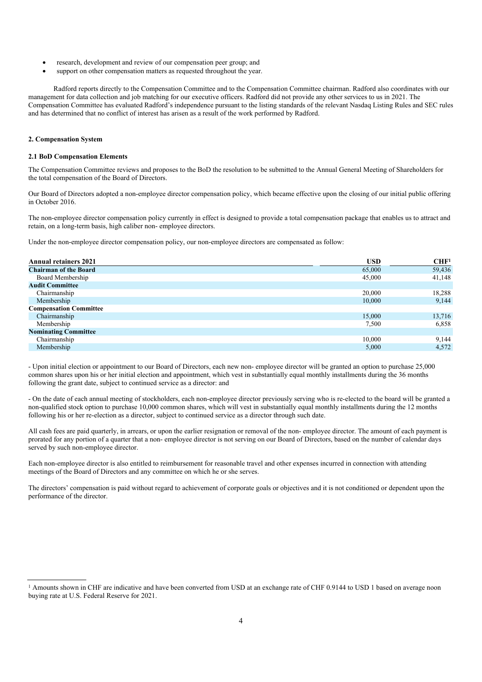- research, development and review of our compensation peer group; and
- support on other compensation matters as requested throughout the year.

Radford reports directly to the Compensation Committee and to the Compensation Committee chairman. Radford also coordinates with our management for data collection and job matching for our executive officers. Radford did not provide any other services to us in 2021. The Compensation Committee has evaluated Radford's independence pursuant to the listing standards of the relevant Nasdaq Listing Rules and SEC rules and has determined that no conflict of interest has arisen as a result of the work performed by Radford.

#### <span id="page-5-0"></span>**2. Compensation System**

#### **2.1 BoD Compensation Elements**

The Compensation Committee reviews and proposes to the BoD the resolution to be submitted to the Annual General Meeting of Shareholders for the total compensation of the Board of Directors.

Our Board of Directors adopted a non-employee director compensation policy, which became effective upon the closing of our initial public offering in October 2016.

The non-employee director compensation policy currently in effect is designed to provide a total compensation package that enables us to attract and retain, on a long-term basis, high caliber non- employee directors.

Under the non-employee director compensation policy, our non-employee directors are compensated as follow:

| <b>Annual retainers 2021</b>  | <b>USD</b> | CHF <sup>1</sup> |
|-------------------------------|------------|------------------|
| <b>Chairman of the Board</b>  | 65,000     | 59,436           |
| Board Membership              | 45,000     | 41,148           |
| <b>Audit Committee</b>        |            |                  |
| Chairmanship                  | 20,000     | 18,288           |
| Membership                    | 10,000     | 9,144            |
| <b>Compensation Committee</b> |            |                  |
| Chairmanship                  | 15,000     | 13,716           |
| Membership                    | 7,500      | 6,858            |
| <b>Nominating Committee</b>   |            |                  |
| Chairmanship                  | 10,000     | 9,144            |
| Membership                    | 5,000      | 4,572            |
|                               |            |                  |

- Upon initial election or appointment to our Board of Directors, each new non- employee director will be granted an option to purchase 25,000 common shares upon his or her initial election and appointment, which vest in substantially equal monthly installments during the 36 months following the grant date, subject to continued service as a director: and

- On the date of each annual meeting of stockholders, each non-employee director previously serving who is re-elected to the board will be granted a non-qualified stock option to purchase 10,000 common shares, which will vest in substantially equal monthly installments during the 12 months following his or her re-election as a director, subject to continued service as a director through such date.

All cash fees are paid quarterly, in arrears, or upon the earlier resignation or removal of the non- employee director. The amount of each payment is prorated for any portion of a quarter that a non- employee director is not serving on our Board of Directors, based on the number of calendar days served by such non-employee director.

Each non-employee director is also entitled to reimbursement for reasonable travel and other expenses incurred in connection with attending meetings of the Board of Directors and any committee on which he or she serves.

The directors' compensation is paid without regard to achievement of corporate goals or objectives and it is not conditioned or dependent upon the performance of the director.

<sup>&</sup>lt;sup>1</sup> Amounts shown in CHF are indicative and have been converted from USD at an exchange rate of CHF 0.9144 to USD 1 based on average noon buying rate at U.S. Federal Reserve for 2021.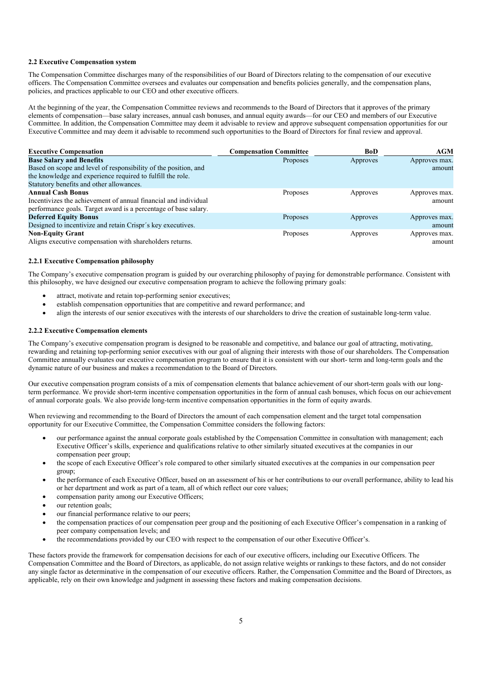#### **2.2 Executive Compensation system**

The Compensation Committee discharges many of the responsibilities of our Board of Directors relating to the compensation of our executive officers. The Compensation Committee oversees and evaluates our compensation and benefits policies generally, and the compensation plans, policies, and practices applicable to our CEO and other executive officers.

At the beginning of the year, the Compensation Committee reviews and recommends to the Board of Directors that it approves of the primary elements of compensation—base salary increases, annual cash bonuses, and annual equity awards—for our CEO and members of our Executive Committee. In addition, the Compensation Committee may deem it advisable to review and approve subsequent compensation opportunities for our Executive Committee and may deem it advisable to recommend such opportunities to the Board of Directors for final review and approval.

| <b>Executive Compensation</b>                                   | <b>Compensation Committee</b> | <b>BoD</b> | <b>AGM</b>    |
|-----------------------------------------------------------------|-------------------------------|------------|---------------|
| <b>Base Salary and Benefits</b>                                 | <b>Proposes</b>               | Approves   | Approves max. |
| Based on scope and level of responsibility of the position, and |                               |            | amount        |
| the knowledge and experience required to fulfill the role.      |                               |            |               |
| Statutory benefits and other allowances.                        |                               |            |               |
| <b>Annual Cash Bonus</b>                                        | Proposes                      | Approves   | Approves max. |
| Incentivizes the achievement of annual financial and individual |                               |            | amount        |
| performance goals. Target award is a percentage of base salary. |                               |            |               |
| <b>Deferred Equity Bonus</b>                                    | Proposes                      | Approves   | Approves max. |
| Designed to incentivize and retain Crispr's key executives.     |                               |            | amount        |
| <b>Non-Equity Grant</b>                                         | Proposes                      | Approves   | Approves max. |
| Aligns executive compensation with shareholders returns.        |                               |            | amount        |

#### **2.2.1 Executive Compensation philosophy**

The Company's executive compensation program is guided by our overarching philosophy of paying for demonstrable performance. Consistent with this philosophy, we have designed our executive compensation program to achieve the following primary goals:

- attract, motivate and retain top-performing senior executives;
- establish compensation opportunities that are competitive and reward performance; and
- align the interests of our senior executives with the interests of our shareholders to drive the creation of sustainable long-term value.

#### **2.2.2 Executive Compensation elements**

The Company's executive compensation program is designed to be reasonable and competitive, and balance our goal of attracting, motivating, rewarding and retaining top-performing senior executives with our goal of aligning their interests with those of our shareholders. The Compensation Committee annually evaluates our executive compensation program to ensure that it is consistent with our short- term and long-term goals and the dynamic nature of our business and makes a recommendation to the Board of Directors.

Our executive compensation program consists of a mix of compensation elements that balance achievement of our short-term goals with our longterm performance. We provide short-term incentive compensation opportunities in the form of annual cash bonuses, which focus on our achievement of annual corporate goals. We also provide long-term incentive compensation opportunities in the form of equity awards.

When reviewing and recommending to the Board of Directors the amount of each compensation element and the target total compensation opportunity for our Executive Committee, the Compensation Committee considers the following factors:

- our performance against the annual corporate goals established by the Compensation Committee in consultation with management; each Executive Officer's skills, experience and qualifications relative to other similarly situated executives at the companies in our compensation peer group;
- the scope of each Executive Officer's role compared to other similarly situated executives at the companies in our compensation peer group;
- the performance of each Executive Officer, based on an assessment of his or her contributions to our overall performance, ability to lead his or her department and work as part of a team, all of which reflect our core values;
- compensation parity among our Executive Officers;
- our retention goals;
- our financial performance relative to our peers;
- the compensation practices of our compensation peer group and the positioning of each Executive Officer's compensation in a ranking of peer company compensation levels; and
- the recommendations provided by our CEO with respect to the compensation of our other Executive Officer's.

These factors provide the framework for compensation decisions for each of our executive officers, including our Executive Officers. The Compensation Committee and the Board of Directors, as applicable, do not assign relative weights or rankings to these factors, and do not consider any single factor as determinative in the compensation of our executive officers. Rather, the Compensation Committee and the Board of Directors, as applicable, rely on their own knowledge and judgment in assessing these factors and making compensation decisions.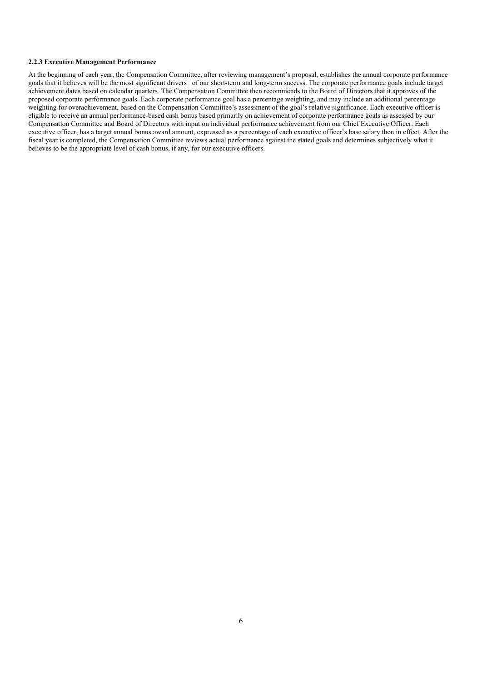#### **2.2.3 Executive Management Performance**

At the beginning of each year, the Compensation Committee, after reviewing management's proposal, establishes the annual corporate performance goals that it believes will be the most significant drivers of our short-term and long-term success. The corporate performance goals include target achievement dates based on calendar quarters. The Compensation Committee then recommends to the Board of Directors that it approves of the proposed corporate performance goals. Each corporate performance goal has a percentage weighting, and may include an additional percentage weighting for overachievement, based on the Compensation Committee's assessment of the goal's relative significance. Each executive officer is eligible to receive an annual performance-based cash bonus based primarily on achievement of corporate performance goals as assessed by our Compensation Committee and Board of Directors with input on individual performance achievement from our Chief Executive Officer. Each executive officer, has a target annual bonus award amount, expressed as a percentage of each executive officer's base salary then in effect. After the fiscal year is completed, the Compensation Committee reviews actual performance against the stated goals and determines subjectively what it believes to be the appropriate level of cash bonus, if any, for our executive officers.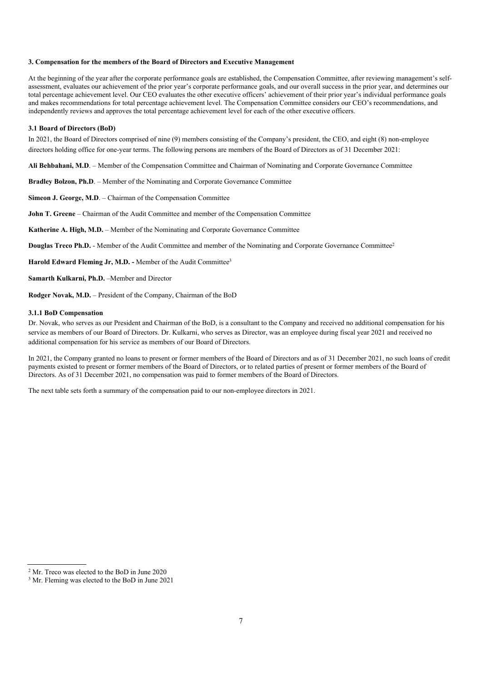#### <span id="page-8-0"></span>**3. Compensation for the members of the Board of Directors and Executive Management**

At the beginning of the year after the corporate performance goals are established, the Compensation Committee, after reviewing management's selfassessment, evaluates our achievement of the prior year's corporate performance goals, and our overall success in the prior year, and determines our total percentage achievement level. Our CEO evaluates the other executive officers' achievement of their prior year's individual performance goals and makes recommendations for total percentage achievement level. The Compensation Committee considers our CEO's recommendations, and independently reviews and approves the total percentage achievement level for each of the other executive officers.

#### **3.1 Board of Directors (BoD)**

In 2021, the Board of Directors comprised of nine (9) members consisting of the Company's president, the CEO, and eight (8) non-employee directors holding office for one-year terms. The following persons are members of the Board of Directors as of 31 December 2021:

**Ali Behbahani, M.D**. – Member of the Compensation Committee and Chairman of Nominating and Corporate Governance Committee

**Bradley Bolzon, Ph.D**. – Member of the Nominating and Corporate Governance Committee

**Simeon J. George, M.D**. – Chairman of the Compensation Committee

**John T. Greene** – Chairman of the Audit Committee and member of the Compensation Committee

**Katherine A. High, M.D.** – Member of the Nominating and Corporate Governance Committee

**Douglas Treco Ph.D.** - Member of the Audit Committee and member of the Nominating and Corporate Governance Committee<sup>2</sup>

**Harold Edward Fleming Jr, M.D. -** Member of the Audit Committee<sup>3</sup>

**Samarth Kulkarni, Ph.D.** –Member and Director

**Rodger Novak, M.D.** – President of the Company, Chairman of the BoD

#### **3.1.1 BoD Compensation**

Dr. Novak, who serves as our President and Chairman of the BoD, is a consultant to the Company and received no additional compensation for his service as members of our Board of Directors. Dr. Kulkarni, who serves as Director, was an employee during fiscal year 2021 and received no additional compensation for his service as members of our Board of Directors.

In 2021, the Company granted no loans to present or former members of the Board of Directors and as of 31 December 2021, no such loans of credit payments existed to present or former members of the Board of Directors, or to related parties of present or former members of the Board of Directors. As of 31 December 2021, no compensation was paid to former members of the Board of Directors.

The next table sets forth a summary of the compensation paid to our non-employee directors in 2021.

<sup>2</sup> Mr. Treco was elected to the BoD in June 2020

<sup>3</sup> Mr. Fleming was elected to the BoD in June 2021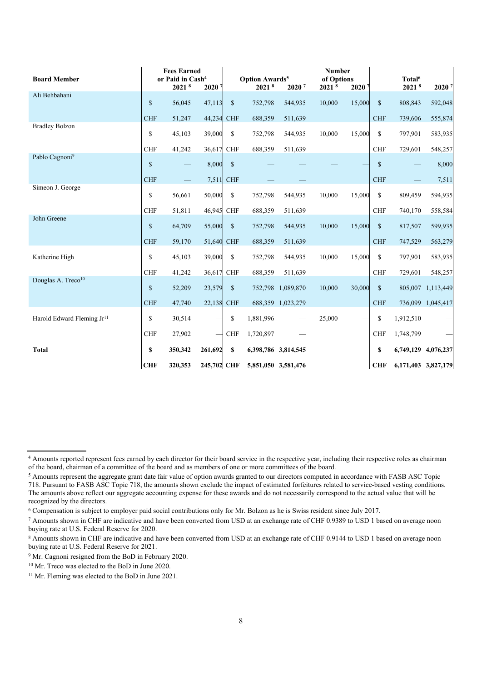| <b>Board Member</b>                    |               | <b>Fees Earned</b><br>or Paid in Cash <sup>4</sup> |             |               | <b>Option Awards<sup>5</sup></b> |                     | <b>Number</b><br>of Options |                   |               | Total <sup>6</sup> |                     |
|----------------------------------------|---------------|----------------------------------------------------|-------------|---------------|----------------------------------|---------------------|-----------------------------|-------------------|---------------|--------------------|---------------------|
|                                        |               | 20218                                              | 20207       |               | 20218                            | 20207               | 20218                       | 2020 <sup>7</sup> |               | 20218              | 2020                |
| Ali Behbahani                          | $\mathbb{S}$  | 56,045                                             | 47,113      | $\sqrt{\ }$   | 752,798                          | 544,935             | 10,000                      | 15,000            | $\mathsf{\$}$ | 808,843            | 592,048             |
|                                        | <b>CHF</b>    | 51,247                                             | 44,234      | <b>CHF</b>    | 688,359                          | 511,639             |                             |                   | <b>CHF</b>    | 739,606            | 555,874             |
| <b>Bradley Bolzon</b>                  | \$            | 45,103                                             | 39,000      | \$            | 752,798                          | 544,935             | 10,000                      | 15,000            | \$            | 797,901            | 583,935             |
|                                        | <b>CHF</b>    | 41,242                                             | 36,617      | <b>CHF</b>    | 688,359                          | 511,639             |                             |                   | <b>CHF</b>    | 729,601            | 548,257             |
| Pablo Cagnoni <sup>9</sup>             | $\mathbb S$   |                                                    | 8,000       | $\mathbb{S}$  |                                  |                     |                             |                   | $\mathbb{S}$  |                    | 8,000               |
|                                        | <b>CHF</b>    |                                                    | 7,511       | <b>CHF</b>    |                                  |                     |                             |                   | <b>CHF</b>    |                    | 7,511               |
| Simeon J. George                       | $\mathbb S$   | 56,661                                             | 50,000      | \$            | 752,798                          | 544,935             | 10,000                      | 15,000            | \$            | 809,459            | 594,935             |
|                                        | <b>CHF</b>    | 51,811                                             | 46,945      | <b>CHF</b>    | 688,359                          | 511,639             |                             |                   | <b>CHF</b>    | 740,170            | 558,584             |
| John Greene                            | $\mathsf{\$}$ | 64,709                                             | 55,000      | $\mathbb{S}$  | 752,798                          | 544,935             | 10,000                      | 15,000            | $\mathsf{\$}$ | 817,507            | 599,935             |
|                                        | <b>CHF</b>    | 59,170                                             | 51,640 CHF  |               | 688,359                          | 511,639             |                             |                   | <b>CHF</b>    | 747,529            | 563,279             |
| Katherine High                         | \$            | 45,103                                             | 39,000      | $\mathbb{S}$  | 752,798                          | 544,935             | 10,000                      | 15,000            | \$            | 797,901            | 583,935             |
|                                        | <b>CHF</b>    | 41,242                                             | 36,617      | <b>CHF</b>    | 688,359                          | 511,639             |                             |                   | <b>CHF</b>    | 729,601            | 548,257             |
| Douglas A. Treco <sup>10</sup>         | $\mathsf{\$}$ | 52,209                                             | 23,579      | $\mathcal{S}$ |                                  | 752,798 1,089,870   | 10,000                      | 30,000            | $\mathsf{\$}$ | 805,007            | 1,113,449           |
|                                        | <b>CHF</b>    | 47,740                                             | 22,138 CHF  |               |                                  | 688,359 1,023,279   |                             |                   | <b>CHF</b>    |                    | 736,099 1,045,417   |
| Harold Edward Fleming Jr <sup>11</sup> | \$            | 30,514                                             |             | \$            | 1,881,996                        |                     | 25,000                      |                   | \$            | 1,912,510          |                     |
|                                        | <b>CHF</b>    | 27,902                                             |             | <b>CHF</b>    | 1,720,897                        |                     |                             |                   | <b>CHF</b>    | 1,748,799          |                     |
| <b>Total</b>                           | \$            | 350,342                                            | 261,692     | \$            | 6,398,786 3,814,545              |                     |                             |                   | \$            |                    | 6,749,129 4,076,237 |
|                                        | <b>CHF</b>    | 320,353                                            | 245,702 CHF |               |                                  | 5,851,050 3,581,476 |                             |                   | <b>CHF</b>    |                    | 6,171,403 3,827,179 |

<sup>4</sup> Amounts reported represent fees earned by each director for their board service in the respective year, including their respective roles as chairman of the board, chairman of a committee of the board and as members of one or more committees of the board.

<sup>&</sup>lt;sup>5</sup> Amounts represent the aggregate grant date fair value of option awards granted to our directors computed in accordance with FASB ASC Topic 718. Pursuant to FASB ASC Topic 718, the amounts shown exclude the impact of estimated forfeitures related to service-based vesting conditions. The amounts above reflect our aggregate accounting expense for these awards and do not necessarily correspond to the actual value that will be recognized by the directors.

<sup>6</sup> Compensation is subject to employer paid social contributions only for Mr. Bolzon as he is Swiss resident since July 2017.

<sup>7</sup> Amounts shown in CHF are indicative and have been converted from USD at an exchange rate of CHF 0.9389 to USD 1 based on average noon buying rate at U.S. Federal Reserve for 2020.

<sup>&</sup>lt;sup>8</sup> Amounts shown in CHF are indicative and have been converted from USD at an exchange rate of CHF 0.9144 to USD 1 based on average noon buying rate at U.S. Federal Reserve for 2021.

<sup>&</sup>lt;sup>9</sup> Mr. Cagnoni resigned from the BoD in February 2020.

<sup>10</sup> Mr. Treco was elected to the BoD in June 2020.

<sup>11</sup> Mr. Fleming was elected to the BoD in June 2021.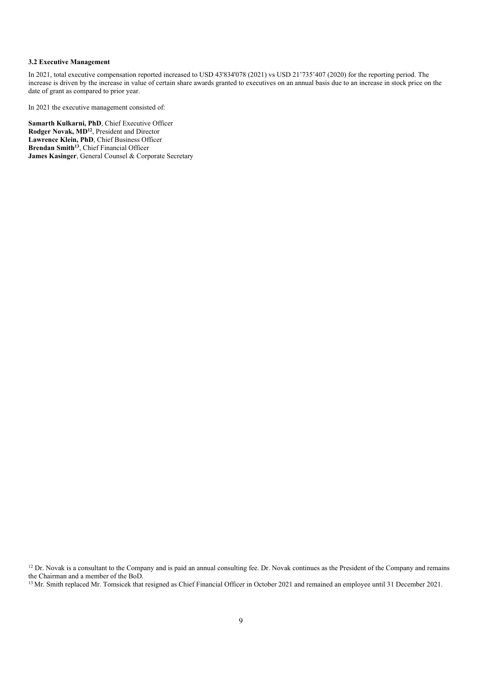#### **3.2 Executive Management**

In 2021, total executive compensation reported increased to USD 43'834'078 (2021) vs USD 21'735'407 (2020) for the reporting period. The increase is driven by the increase in value of certain share awards granted to executives on an annual basis due to an increase in stock price on the date of grant as compared to prior year.

In 2021 the executive management consisted of:

**Samarth Kulkarni, PhD**, Chief Executive Officer **Rodger Novak, MD<sup>12</sup>**, President and Director **Lawrence Klein, PhD**, Chief Business Officer **Brendan Smith<sup>13</sup>**, Chief Financial Officer **James Kasinger**, General Counsel & Corporate Secretary

<sup>12</sup> Dr. Novak is a consultant to the Company and is paid an annual consulting fee. Dr. Novak continues as the President of the Company and remains the Chairman and a member of the BoD.

<sup>13</sup> Mr. Smith replaced Mr. Tomsicek that resigned as Chief Financial Officer in October 2021 and remained an employee until 31 December 2021.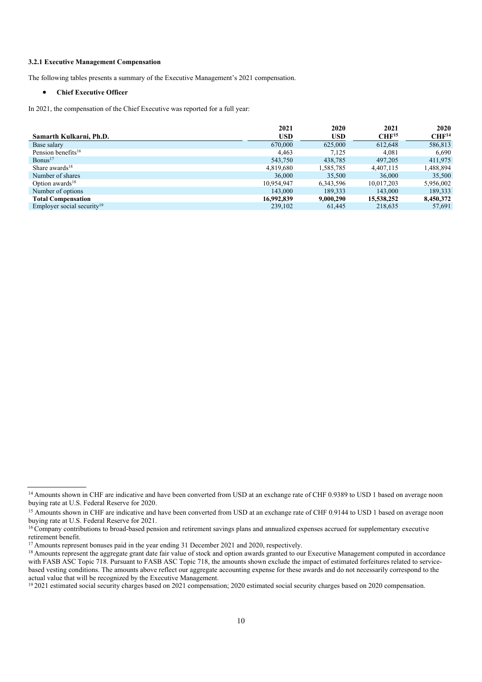#### **3.2.1 Executive Management Compensation**

The following tables presents a summary of the Executive Management's 2021 compensation.

#### **Chief Executive Officer**

In 2021, the compensation of the Chief Executive was reported for a full year:

|                                        | 2021       | 2020       | 2021              | 2020              |
|----------------------------------------|------------|------------|-------------------|-------------------|
| Samarth Kulkarni, Ph.D.                | <b>USD</b> | <b>USD</b> | CHF <sup>15</sup> | CHF <sup>14</sup> |
| Base salary                            | 670,000    | 625,000    | 612,648           | 586,813           |
| Pension benefits <sup>16</sup>         | 4,463      | 7.125      | 4,081             | 6,690             |
| Bonus <sup>17</sup>                    | 543,750    | 438,785    | 497.205           | 411,975           |
| Share awards $18$                      | 4,819,680  | 1,585,785  | 4,407,115         | 1,488,894         |
| Number of shares                       | 36,000     | 35,500     | 36,000            | 35,500            |
| Option awards <sup>18</sup>            | 10,954,947 | 6,343,596  | 10,017,203        | 5,956,002         |
| Number of options                      | 143,000    | 189,333    | 143,000           | 189,333           |
| <b>Total Compensation</b>              | 16,992,839 | 9,000,290  | 15,538,252        | 8,450,372         |
| Employer social security <sup>19</sup> | 239,102    | 61.445     | 218,635           | 57,691            |

<sup>&</sup>lt;sup>14</sup> Amounts shown in CHF are indicative and have been converted from USD at an exchange rate of CHF 0.9389 to USD 1 based on average noon buying rate at U.S. Federal Reserve for 2020.

<sup>&</sup>lt;sup>15</sup> Amounts shown in CHF are indicative and have been converted from USD at an exchange rate of CHF 0.9144 to USD 1 based on average noon buying rate at U.S. Federal Reserve for 2021.

<sup>&</sup>lt;sup>16</sup> Company contributions to broad-based pension and retirement savings plans and annualized expenses accrued for supplementary executive retirement benefit.

<sup>&</sup>lt;sup>17</sup> Amounts represent bonuses paid in the year ending 31 December 2021 and 2020, respectively.

<sup>&</sup>lt;sup>18</sup> Amounts represent the aggregate grant date fair value of stock and option awards granted to our Executive Management computed in accordance with FASB ASC Topic 718. Pursuant to FASB ASC Topic 718, the amounts shown exclude the impact of estimated forfeitures related to servicebased vesting conditions. The amounts above reflect our aggregate accounting expense for these awards and do not necessarily correspond to the actual value that will be recognized by the Executive Management.

<sup>&</sup>lt;sup>19</sup> 2021 estimated social security charges based on 2021 compensation; 2020 estimated social security charges based on 2020 compensation.